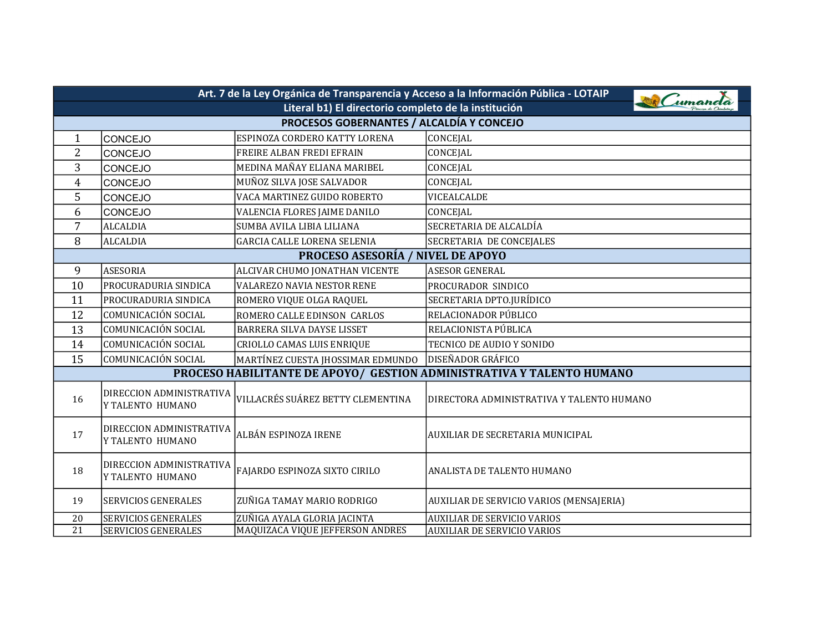| Art. 7 de la Ley Orgánica de Transparencia y Acceso a la Información Pública - LOTAIP |                                              |                                    |                                                                       |  |
|---------------------------------------------------------------------------------------|----------------------------------------------|------------------------------------|-----------------------------------------------------------------------|--|
| W Cumande<br>Literal b1) El directorio completo de la institución                     |                                              |                                    |                                                                       |  |
| PROCESOS GOBERNANTES / ALCALDÍA Y CONCEJO                                             |                                              |                                    |                                                                       |  |
| $\mathbf{1}$                                                                          | CONCEJO                                      | ESPINOZA CORDERO KATTY LORENA      | CONCEJAL                                                              |  |
| $\overline{2}$                                                                        | CONCEJO                                      | FREIRE ALBAN FREDI EFRAIN          | CONCEJAL                                                              |  |
| 3                                                                                     | <b>CONCEJO</b>                               | MEDINA MAÑAY ELIANA MARIBEL        | CONCEJAL                                                              |  |
| $\overline{4}$                                                                        | CONCEJO                                      | MUÑOZ SILVA JOSE SALVADOR          | CONCEJAL                                                              |  |
| 5                                                                                     | CONCEJO                                      | VACA MARTINEZ GUIDO ROBERTO        | VICEALCALDE                                                           |  |
| 6                                                                                     | CONCEJO                                      | VALENCIA FLORES JAIME DANILO       | CONCEJAL                                                              |  |
| $\overline{7}$                                                                        | <b>ALCALDIA</b>                              | SUMBA AVILA LIBIA LILIANA          | SECRETARIA DE ALCALDÍA                                                |  |
| 8                                                                                     | <b>ALCALDIA</b>                              | <b>GARCIA CALLE LORENA SELENIA</b> | SECRETARIA DE CONCEJALES                                              |  |
|                                                                                       |                                              | PROCESO ASESORÍA / NIVEL DE APOYO  |                                                                       |  |
| 9                                                                                     | <b>ASESORIA</b>                              | ALCIVAR CHUMO JONATHAN VICENTE     | <b>ASESOR GENERAL</b>                                                 |  |
| 10                                                                                    | PROCURADURIA SINDICA                         | <b>VALAREZO NAVIA NESTOR RENE</b>  | PROCURADOR SINDICO                                                    |  |
| 11                                                                                    | PROCURADURIA SINDICA                         | ROMERO VIQUE OLGA RAQUEL           | SECRETARIA DPTO.JURÍDICO                                              |  |
| 12                                                                                    | COMUNICACIÓN SOCIAL                          | ROMERO CALLE EDINSON CARLOS        | RELACIONADOR PÚBLICO                                                  |  |
| 13                                                                                    | COMUNICACIÓN SOCIAL                          | BARRERA SILVA DAYSE LISSET         | RELACIONISTA PÚBLICA                                                  |  |
| 14                                                                                    | COMUNICACIÓN SOCIAL                          | CRIOLLO CAMAS LUIS ENRIQUE         | TECNICO DE AUDIO Y SONIDO                                             |  |
| 15                                                                                    | COMUNICACIÓN SOCIAL                          | MARTÍNEZ CUESTA JHOSSIMAR EDMUNDO  | <b>DISEÑADOR GRÁFICO</b>                                              |  |
|                                                                                       |                                              |                                    | PROCESO HABILITANTE DE APOYO/ GESTION ADMINISTRATIVA Y TALENTO HUMANO |  |
| 16                                                                                    | DIRECCION ADMINISTRATIVA<br>Y TALENTO HUMANO | VILLACRÉS SUÁREZ BETTY CLEMENTINA  | DIRECTORA ADMINISTRATIVA Y TALENTO HUMANO                             |  |
| 17                                                                                    | DIRECCION ADMINISTRATIVA<br>Y TALENTO HUMANO | ALBÁN ESPINOZA IRENE               | AUXILIAR DE SECRETARIA MUNICIPAL                                      |  |
| 18                                                                                    | DIRECCION ADMINISTRATIVA<br>Y TALENTO HUMANO | FAJARDO ESPINOZA SIXTO CIRILO      | ANALISTA DE TALENTO HUMANO                                            |  |
| 19                                                                                    | <b>SERVICIOS GENERALES</b>                   | ZUÑIGA TAMAY MARIO RODRIGO         | AUXILIAR DE SERVICIO VARIOS (MENSAJERIA)                              |  |
| 20                                                                                    | SERVICIOS GENERALES                          | ZUÑIGA AYALA GLORIA JACINTA        | <b>AUXILIAR DE SERVICIO VARIOS</b>                                    |  |
| 21                                                                                    | SERVICIOS GENERALES                          | MAQUIZACA VIQUE JEFFERSON ANDRES   | <b>AUXILIAR DE SERVICIO VARIOS</b>                                    |  |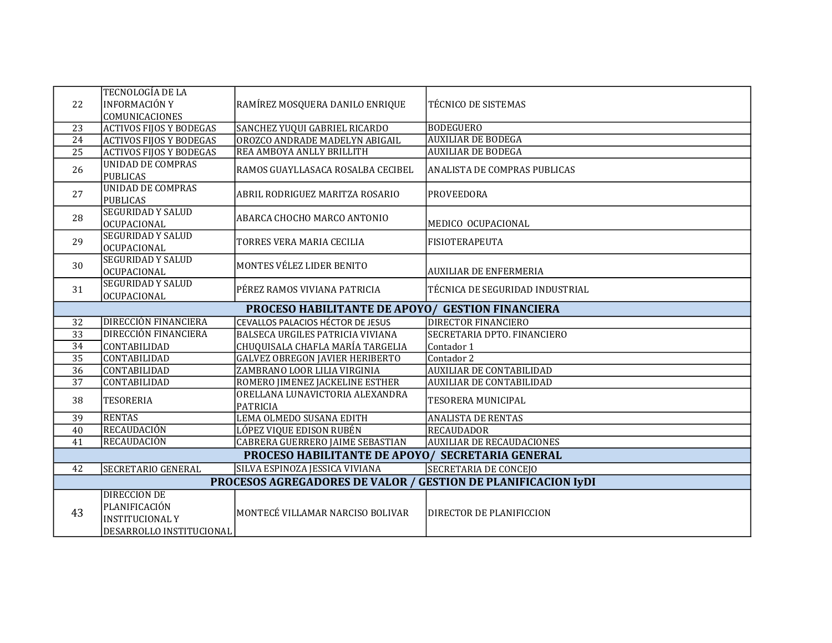| 22 | TECNOLOGÍA DE LA<br><b>INFORMACIÓN Y</b><br>COMUNICACIONES           | RAMÍREZ MOSQUERA DANILO ENRIQUE                         | TÉCNICO DE SISTEMAS              |  |  |
|----|----------------------------------------------------------------------|---------------------------------------------------------|----------------------------------|--|--|
| 23 | <b>ACTIVOS FIJOS Y BODEGAS</b>                                       | SANCHEZ YUQUI GABRIEL RICARDO                           | <b>BODEGUERO</b>                 |  |  |
| 24 | <b>ACTIVOS FIJOS Y BODEGAS</b>                                       | OROZCO ANDRADE MADELYN ABIGAIL                          | <b>AUXILIAR DE BODEGA</b>        |  |  |
| 25 | <b>ACTIVOS FIJOS Y BODEGAS</b>                                       | REA AMBOYA ANLLY BRILLITH                               | <b>AUXILIAR DE BODEGA</b>        |  |  |
| 26 | UNIDAD DE COMPRAS<br><b>PUBLICAS</b>                                 | RAMOS GUAYLLASACA ROSALBA CECIBEL                       | ANALISTA DE COMPRAS PUBLICAS     |  |  |
| 27 | <b>UNIDAD DE COMPRAS</b><br><b>PUBLICAS</b>                          | ABRIL RODRIGUEZ MARITZA ROSARIO                         | <b>PROVEEDORA</b>                |  |  |
| 28 | <b>SEGURIDAD Y SALUD</b><br>OCUPACIONAL                              | ABARCA CHOCHO MARCO ANTONIO                             | MEDICO OCUPACIONAL               |  |  |
| 29 | <b>SEGURIDAD Y SALUD</b><br>OCUPACIONAL                              | TORRES VERA MARIA CECILIA                               | <b>FISIOTERAPEUTA</b>            |  |  |
| 30 | <b>SEGURIDAD Y SALUD</b><br>OCUPACIONAL                              | MONTES VÉLEZ LIDER BENITO                               | <b>AUXILIAR DE ENFERMERIA</b>    |  |  |
| 31 | <b>SEGURIDAD Y SALUD</b><br>OCUPACIONAL                              | PÉREZ RAMOS VIVIANA PATRICIA                            | TÉCNICA DE SEGURIDAD INDUSTRIAL  |  |  |
|    |                                                                      | <b>PROCESO HABILITANTE DE APOYO/ GESTION FINANCIERA</b> |                                  |  |  |
| 32 | <b>DIRECCIÓN FINANCIERA</b>                                          | CEVALLOS PALACIOS HÉCTOR DE JESUS                       | <b>DIRECTOR FINANCIERO</b>       |  |  |
| 33 | DIRECCIÓN FINANCIERA                                                 | <b>BALSECA URGILES PATRICIA VIVIANA</b>                 | SECRETARIA DPTO. FINANCIERO      |  |  |
| 34 | CONTABILIDAD                                                         | CHUQUISALA CHAFLA MARÍA TARGELIA                        | Contador 1                       |  |  |
| 35 | CONTABILIDAD                                                         | <b>GALVEZ OBREGON JAVIER HERIBERTO</b>                  | Contador 2                       |  |  |
| 36 | CONTABILIDAD                                                         | ZAMBRANO LOOR LILIA VIRGINIA                            | <b>AUXILIAR DE CONTABILIDAD</b>  |  |  |
| 37 | CONTABILIDAD                                                         | ROMERO JIMENEZ JACKELINE ESTHER                         | <b>AUXILIAR DE CONTABILIDAD</b>  |  |  |
| 38 | <b>TESORERIA</b>                                                     | ORELLANA LUNAVICTORIA ALEXANDRA<br><b>PATRICIA</b>      | TESORERA MUNICIPAL               |  |  |
| 39 | <b>RENTAS</b>                                                        | LEMA OLMEDO SUSANA EDITH                                | <b>ANALISTA DE RENTAS</b>        |  |  |
| 40 | <b>RECAUDACIÓN</b>                                                   | LÓPEZ VIQUE EDISON RUBÉN                                | <b>RECAUDADOR</b>                |  |  |
| 41 | RECAUDACIÓN                                                          | CABRERA GUERRERO JAIME SEBASTIAN                        | <b>AUXILIAR DE RECAUDACIONES</b> |  |  |
|    | PROCESO HABILITANTE DE APOYO/ SECRETARIA GENERAL                     |                                                         |                                  |  |  |
| 42 | SECRETARIO GENERAL                                                   | SILVA ESPINOZA JESSICA VIVIANA                          | SECRETARIA DE CONCEJO            |  |  |
|    | <b>PROCESOS AGREGADORES DE VALOR / GESTION DE PLANIFICACION IYDI</b> |                                                         |                                  |  |  |
|    | <b>DIRECCION DE</b>                                                  |                                                         |                                  |  |  |
| 43 | PLANIFICACIÓN                                                        | MONTECÉ VILLAMAR NARCISO BOLIVAR                        | DIRECTOR DE PLANIFICCION         |  |  |
|    | <b>INSTITUCIONAL Y</b>                                               |                                                         |                                  |  |  |
|    | DESARROLLO INSTITUCIONAL                                             |                                                         |                                  |  |  |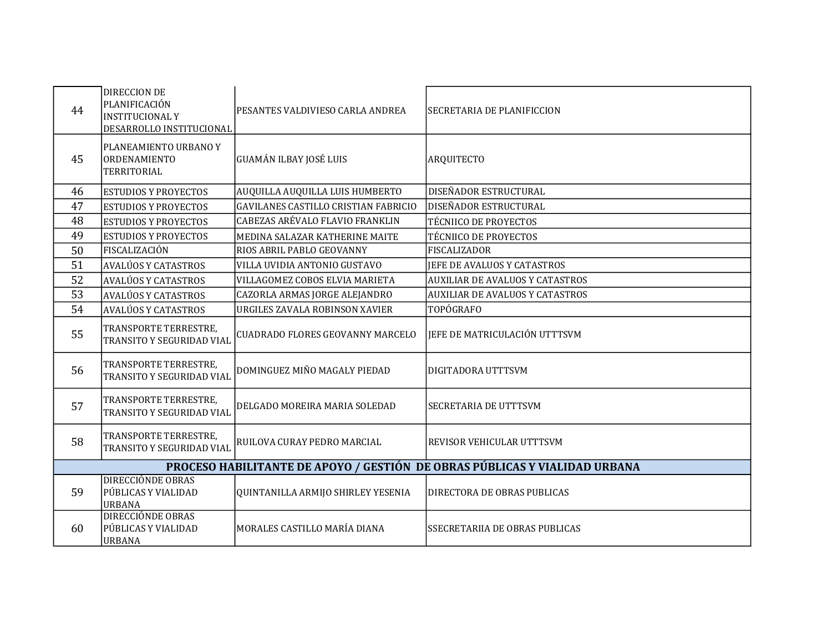| 44 | <b>DIRECCION DE</b><br>PLANIFICACIÓN<br><b>INSTITUCIONAL Y</b><br>DESARROLLO INSTITUCIONAL | PESANTES VALDIVIESO CARLA ANDREA            | SECRETARIA DE PLANIFICCION             |  |  |
|----|--------------------------------------------------------------------------------------------|---------------------------------------------|----------------------------------------|--|--|
| 45 | PLANEAMIENTO URBANO Y<br><b>ORDENAMIENTO</b><br>TERRITORIAL                                | <b>GUAMÁN ILBAY JOSÉ LUIS</b>               | <b>ARQUITECTO</b>                      |  |  |
| 46 | <b>ESTUDIOS Y PROYECTOS</b>                                                                | AUQUILLA AUQUILLA LUIS HUMBERTO             | DISEÑADOR ESTRUCTURAL                  |  |  |
| 47 | <b>ESTUDIOS Y PROYECTOS</b>                                                                | <b>GAVILANES CASTILLO CRISTIAN FABRICIO</b> | DISEÑADOR ESTRUCTURAL                  |  |  |
| 48 | <b>ESTUDIOS Y PROYECTOS</b>                                                                | CABEZAS ARÉVALO FLAVIO FRANKLIN             | <b>TÉCNIICO DE PROYECTOS</b>           |  |  |
| 49 | <b>ESTUDIOS Y PROYECTOS</b>                                                                | MEDINA SALAZAR KATHERINE MAITE              | <b>TÉCNIICO DE PROYECTOS</b>           |  |  |
| 50 | FISCALIZACIÓN                                                                              | RIOS ABRIL PABLO GEOVANNY                   | <b>FISCALIZADOR</b>                    |  |  |
| 51 | AVALÚOS Y CATASTROS                                                                        | VILLA UVIDIA ANTONIO GUSTAVO                | JEFE DE AVALUOS Y CATASTROS            |  |  |
| 52 | <b>AVALÚOS Y CATASTROS</b>                                                                 | VILLAGOMEZ COBOS ELVIA MARIETA              | <b>AUXILIAR DE AVALUOS Y CATASTROS</b> |  |  |
| 53 | AVALÚOS Y CATASTROS                                                                        | CAZORLA ARMAS JORGE ALEJANDRO               | <b>AUXILIAR DE AVALUOS Y CATASTROS</b> |  |  |
| 54 | AVALÚOS Y CATASTROS                                                                        | URGILES ZAVALA ROBINSON XAVIER              | TOPÓGRAFO                              |  |  |
| 55 | TRANSPORTE TERRESTRE,<br>TRANSITO Y SEGURIDAD VIAL                                         | <b>CUADRADO FLORES GEOVANNY MARCELO</b>     | JEFE DE MATRICULACIÓN UTTTSVM          |  |  |
| 56 | TRANSPORTE TERRESTRE,<br>TRANSITO Y SEGURIDAD VIAL                                         | DOMINGUEZ MIÑO MAGALY PIEDAD                | DIGITADORA UTTTSVM                     |  |  |
| 57 | TRANSPORTE TERRESTRE,<br>TRANSITO Y SEGURIDAD VIAL                                         | DELGADO MOREIRA MARIA SOLEDAD               | SECRETARIA DE UTTTSVM                  |  |  |
| 58 | TRANSPORTE TERRESTRE,<br>TRANSITO Y SEGURIDAD VIAL                                         | RUILOVA CURAY PEDRO MARCIAL                 | REVISOR VEHICULAR UTTTSVM              |  |  |
|    | PROCESO HABILITANTE DE APOYO / GESTIÓN DE OBRAS PÚBLICAS Y VIALIDAD URBANA                 |                                             |                                        |  |  |
| 59 | DIRECCIÓNDE OBRAS<br>PÚBLICAS Y VIALIDAD<br>URBANA                                         | QUINTANILLA ARMIJO SHIRLEY YESENIA          | DIRECTORA DE OBRAS PUBLICAS            |  |  |
| 60 | DIRECCIÓNDE OBRAS<br>PÚBLICAS Y VIALIDAD<br><b>URBANA</b>                                  | MORALES CASTILLO MARÍA DIANA                | SSECRETARIIA DE OBRAS PUBLICAS         |  |  |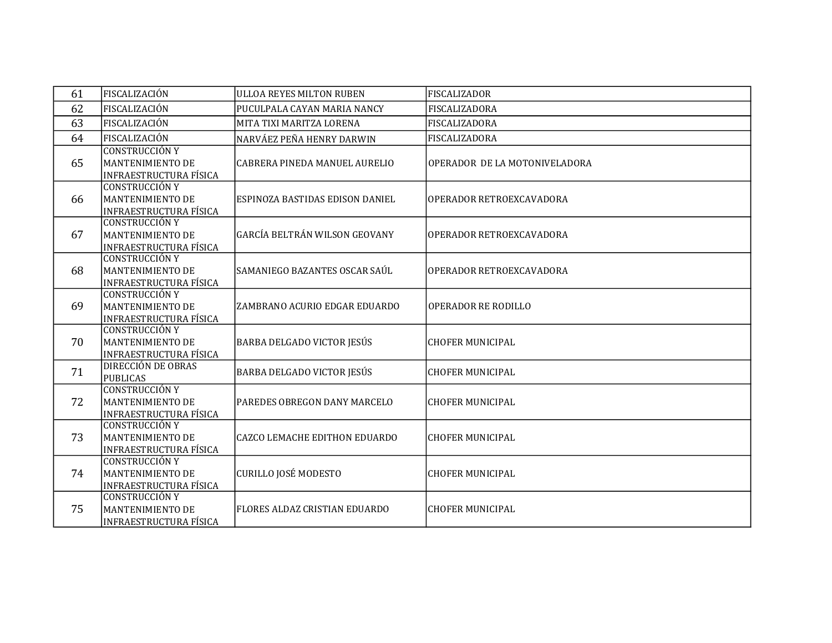| 61 | FISCALIZACIÓN                                                              | <b>ULLOA REYES MILTON RUBEN</b>        | <b>FISCALIZADOR</b>           |
|----|----------------------------------------------------------------------------|----------------------------------------|-------------------------------|
| 62 | FISCALIZACIÓN                                                              | PUCULPALA CAYAN MARIA NANCY            | <b>FISCALIZADORA</b>          |
| 63 | FISCALIZACIÓN                                                              | MITA TIXI MARITZA LORENA               | FISCALIZADORA                 |
| 64 | FISCALIZACIÓN                                                              | NARVÁEZ PEÑA HENRY DARWIN              | FISCALIZADORA                 |
| 65 | <b>CONSTRUCCIÓN Y</b><br>MANTENIMIENTO DE<br><b>INFRAESTRUCTURA FÍSICA</b> | CABRERA PINEDA MANUEL AURELIO          | OPERADOR DE LA MOTONIVELADORA |
| 66 | <b>CONSTRUCCIÓN Y</b><br>MANTENIMIENTO DE<br><b>INFRAESTRUCTURA FÍSICA</b> | <b>ESPINOZA BASTIDAS EDISON DANIEL</b> | OPERADOR RETROEXCAVADORA      |
| 67 | <b>CONSTRUCCIÓN Y</b><br>MANTENIMIENTO DE<br><b>INFRAESTRUCTURA FÍSICA</b> | GARCÍA BELTRÁN WILSON GEOVANY          | OPERADOR RETROEXCAVADORA      |
| 68 | <b>CONSTRUCCIÓN Y</b><br>MANTENIMIENTO DE<br><b>INFRAESTRUCTURA FÍSICA</b> | SAMANIEGO BAZANTES OSCAR SAÚL          | OPERADOR RETROEXCAVADORA      |
| 69 | <b>CONSTRUCCIÓN Y</b><br>MANTENIMIENTO DE<br>INFRAESTRUCTURA FÍSICA        | ZAMBRANO ACURIO EDGAR EDUARDO          | OPERADOR RE RODILLO           |
| 70 | CONSTRUCCIÓN Y<br>MANTENIMIENTO DE<br>INFRAESTRUCTURA FÍSICA               | BARBA DELGADO VICTOR JESÚS             | <b>CHOFER MUNICIPAL</b>       |
| 71 | DIRECCIÓN DE OBRAS<br><b>PUBLICAS</b>                                      | <b>BARBA DELGADO VICTOR JESÚS</b>      | <b>CHOFER MUNICIPAL</b>       |
| 72 | <b>CONSTRUCCIÓN Y</b><br>MANTENIMIENTO DE<br><b>INFRAESTRUCTURA FÍSICA</b> | PAREDES OBREGON DANY MARCELO           | <b>CHOFER MUNICIPAL</b>       |
| 73 | <b>CONSTRUCCIÓN Y</b><br>MANTENIMIENTO DE<br>INFRAESTRUCTURA FÍSICA        | CAZCO LEMACHE EDITHON EDUARDO          | <b>CHOFER MUNICIPAL</b>       |
| 74 | <b>CONSTRUCCIÓN Y</b><br>MANTENIMIENTO DE<br><b>INFRAESTRUCTURA FÍSICA</b> | CURILLO JOSÉ MODESTO                   | <b>CHOFER MUNICIPAL</b>       |
| 75 | <b>CONSTRUCCIÓN Y</b><br>MANTENIMIENTO DE<br><b>INFRAESTRUCTURA FÍSICA</b> | FLORES ALDAZ CRISTIAN EDUARDO          | <b>CHOFER MUNICIPAL</b>       |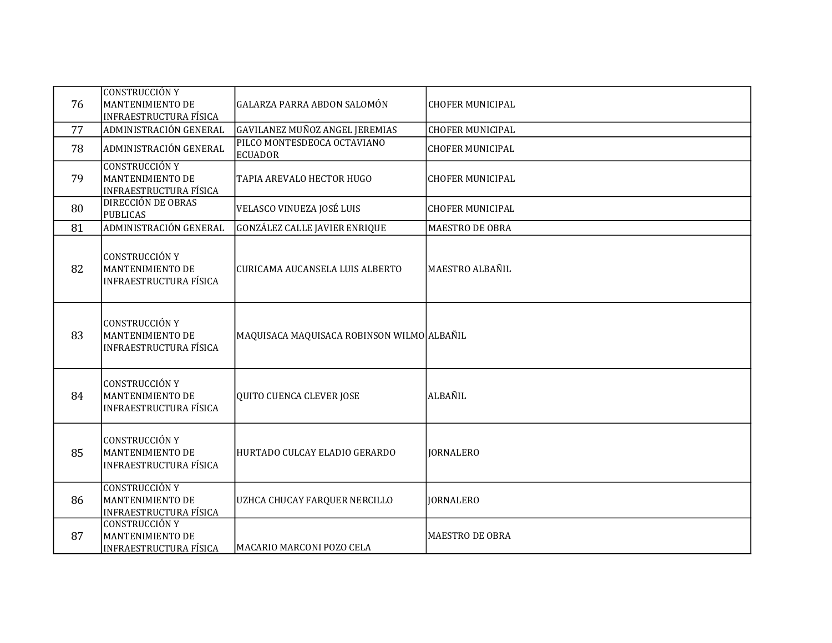|    | <b>CONSTRUCCIÓN Y</b>                                                             |                                               |                         |
|----|-----------------------------------------------------------------------------------|-----------------------------------------------|-------------------------|
| 76 | MANTENIMIENTO DE<br><b>INFRAESTRUCTURA FÍSICA</b>                                 | GALARZA PARRA ABDON SALOMÓN                   | <b>CHOFER MUNICIPAL</b> |
| 77 | ADMINISTRACIÓN GENERAL                                                            | GAVILANEZ MUÑOZ ANGEL JEREMIAS                | <b>CHOFER MUNICIPAL</b> |
| 78 | ADMINISTRACIÓN GENERAL                                                            | PILCO MONTESDEOCA OCTAVIANO<br><b>ECUADOR</b> | <b>CHOFER MUNICIPAL</b> |
| 79 | <b>CONSTRUCCIÓN Y</b><br>MANTENIMIENTO DE<br>INFRAESTRUCTURA FÍSICA               | TAPIA AREVALO HECTOR HUGO                     | <b>CHOFER MUNICIPAL</b> |
| 80 | <b>DIRECCIÓN DE OBRAS</b><br><b>PUBLICAS</b>                                      | VELASCO VINUEZA JOSÉ LUIS                     | <b>CHOFER MUNICIPAL</b> |
| 81 | ADMINISTRACIÓN GENERAL                                                            | <b>GONZÁLEZ CALLE JAVIER ENRIQUE</b>          | <b>MAESTRO DE OBRA</b>  |
| 82 | <b>CONSTRUCCIÓN Y</b><br>MANTENIMIENTO DE<br><b>INFRAESTRUCTURA FÍSICA</b>        | CURICAMA AUCANSELA LUIS ALBERTO               | MAESTRO ALBAÑIL         |
| 83 | <b>CONSTRUCCIÓN Y</b><br><b>MANTENIMIENTO DE</b><br><b>INFRAESTRUCTURA FÍSICA</b> | MAQUISACA MAQUISACA ROBINSON WILMO ALBAÑIL    |                         |
| 84 | <b>CONSTRUCCIÓN Y</b><br>MANTENIMIENTO DE<br><b>INFRAESTRUCTURA FÍSICA</b>        | QUITO CUENCA CLEVER JOSE                      | ALBAÑIL                 |
| 85 | <b>CONSTRUCCIÓN Y</b><br>MANTENIMIENTO DE<br><b>INFRAESTRUCTURA FÍSICA</b>        | HURTADO CULCAY ELADIO GERARDO                 | <b>JORNALERO</b>        |
| 86 | <b>CONSTRUCCIÓN Y</b><br>MANTENIMIENTO DE<br><b>INFRAESTRUCTURA FÍSICA</b>        | UZHCA CHUCAY FARQUER NERCILLO                 | <b>JORNALERO</b>        |
| 87 | <b>CONSTRUCCIÓN Y</b><br><b>MANTENIMIENTO DE</b><br><b>INFRAESTRUCTURA FÍSICA</b> | MACARIO MARCONI POZO CELA                     | <b>MAESTRO DE OBRA</b>  |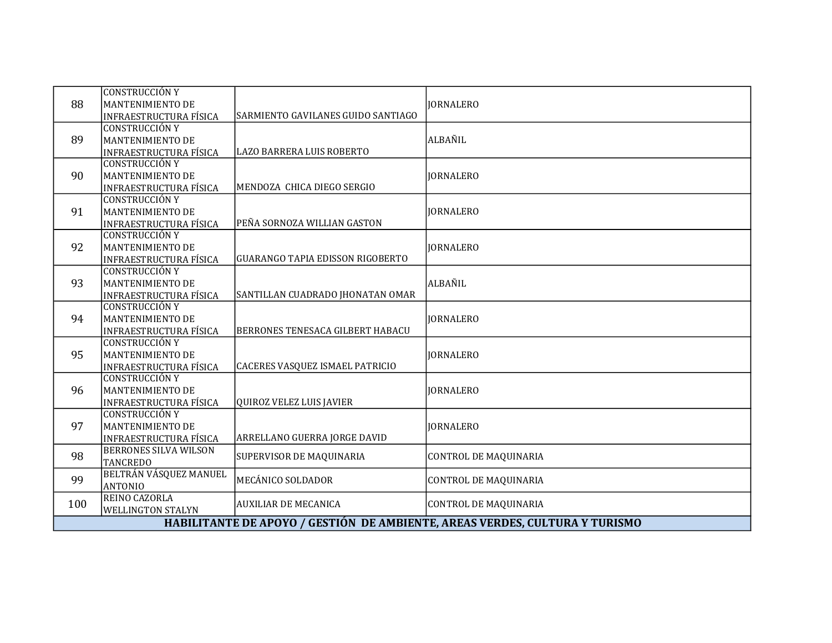| 88                                                                          | <b>CONSTRUCCIÓN Y</b><br>MANTENIMIENTO DE<br><b>INFRAESTRUCTURA FÍSICA</b> | SARMIENTO GAVILANES GUIDO SANTIAGO      | <b>JORNALERO</b>             |
|-----------------------------------------------------------------------------|----------------------------------------------------------------------------|-----------------------------------------|------------------------------|
| 89                                                                          | <b>CONSTRUCCIÓN Y</b><br>MANTENIMIENTO DE<br><b>INFRAESTRUCTURA FÍSICA</b> | LAZO BARRERA LUIS ROBERTO               | ALBAÑIL                      |
| 90                                                                          | <b>CONSTRUCCIÓN Y</b><br>MANTENIMIENTO DE<br><b>INFRAESTRUCTURA FÍSICA</b> | MENDOZA CHICA DIEGO SERGIO              | <b>JORNALERO</b>             |
| 91                                                                          | <b>CONSTRUCCIÓN Y</b><br>MANTENIMIENTO DE<br><b>INFRAESTRUCTURA FÍSICA</b> | PEÑA SORNOZA WILLIAN GASTON             | <b>IORNALERO</b>             |
| 92                                                                          | <b>CONSTRUCCIÓN Y</b><br>MANTENIMIENTO DE<br><b>INFRAESTRUCTURA FÍSICA</b> | <b>GUARANGO TAPIA EDISSON RIGOBERTO</b> | <b>JORNALERO</b>             |
| 93                                                                          | <b>CONSTRUCCIÓN Y</b><br>MANTENIMIENTO DE<br><b>INFRAESTRUCTURA FÍSICA</b> | SANTILLAN CUADRADO JHONATAN OMAR        | <b>ALBAÑIL</b>               |
| 94                                                                          | <b>CONSTRUCCIÓN Y</b><br>MANTENIMIENTO DE<br><b>INFRAESTRUCTURA FÍSICA</b> | BERRONES TENESACA GILBERT HABACU        | <b>JORNALERO</b>             |
| 95                                                                          | <b>CONSTRUCCIÓN Y</b><br>MANTENIMIENTO DE<br><b>INFRAESTRUCTURA FÍSICA</b> | CACERES VASQUEZ ISMAEL PATRICIO         | <b>JORNALERO</b>             |
| 96                                                                          | <b>CONSTRUCCIÓN Y</b><br>MANTENIMIENTO DE<br><b>INFRAESTRUCTURA FÍSICA</b> | QUIROZ VELEZ LUIS JAVIER                | <b>IORNALERO</b>             |
| 97                                                                          | <b>CONSTRUCCIÓN Y</b><br>MANTENIMIENTO DE<br><b>INFRAESTRUCTURA FÍSICA</b> | ARRELLANO GUERRA JORGE DAVID            | <b>JORNALERO</b>             |
| 98                                                                          | <b>BERRONES SILVA WILSON</b><br><b>TANCREDO</b>                            | <b>SUPERVISOR DE MAQUINARIA</b>         | <b>CONTROL DE MAQUINARIA</b> |
| 99                                                                          | BELTRÁN VÁSQUEZ MANUEL<br><b>ANTONIO</b>                                   | MECÁNICO SOLDADOR                       | <b>CONTROL DE MAQUINARIA</b> |
| 100                                                                         | REINO CAZORLA<br><b>WELLINGTON STALYN</b>                                  | <b>AUXILIAR DE MECANICA</b>             | <b>CONTROL DE MAQUINARIA</b> |
| HABILITANTE DE APOYO / GESTIÓN DE AMBIENTE, AREAS VERDES, CULTURA Y TURISMO |                                                                            |                                         |                              |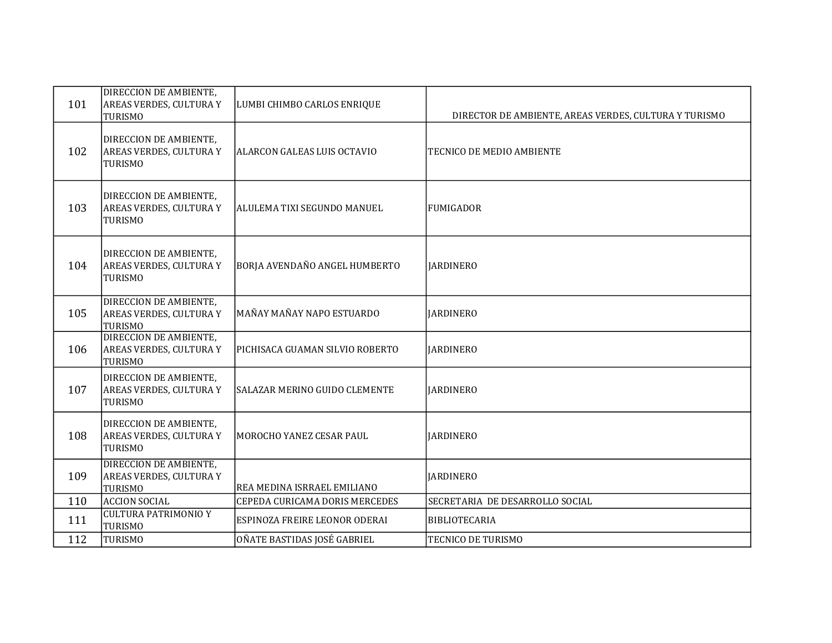| 101 | DIRECCION DE AMBIENTE,<br>AREAS VERDES, CULTURA Y<br>TURISMO               | LUMBI CHIMBO CARLOS ENRIQUE     | DIRECTOR DE AMBIENTE, AREAS VERDES, CULTURA Y TURISMO |
|-----|----------------------------------------------------------------------------|---------------------------------|-------------------------------------------------------|
| 102 | DIRECCION DE AMBIENTE,<br>AREAS VERDES, CULTURA Y<br>TURISMO               | ALARCON GALEAS LUIS OCTAVIO     | TECNICO DE MEDIO AMBIENTE                             |
| 103 | DIRECCION DE AMBIENTE,<br>AREAS VERDES, CULTURA Y<br>TURISMO               | ALULEMA TIXI SEGUNDO MANUEL     | <b>FUMIGADOR</b>                                      |
| 104 | DIRECCION DE AMBIENTE,<br><b>AREAS VERDES, CULTURA Y</b><br>TURISMO        | BORJA AVENDAÑO ANGEL HUMBERTO   | <b>JARDINERO</b>                                      |
| 105 | DIRECCION DE AMBIENTE,<br>AREAS VERDES, CULTURA Y<br>TURISMO               | MAÑAY MAÑAY NAPO ESTUARDO       | <b>IARDINERO</b>                                      |
| 106 | <b>DIRECCION DE AMBIENTE,</b><br><b>AREAS VERDES, CULTURA Y</b><br>TURISMO | PICHISACA GUAMAN SILVIO ROBERTO | <b>JARDINERO</b>                                      |
| 107 | DIRECCION DE AMBIENTE,<br>AREAS VERDES, CULTURA Y<br>TURISMO               | SALAZAR MERINO GUIDO CLEMENTE   | <b>IARDINERO</b>                                      |
| 108 | DIRECCION DE AMBIENTE,<br>AREAS VERDES, CULTURA Y<br>TURISMO               | MOROCHO YANEZ CESAR PAUL        | <b>IARDINERO</b>                                      |
| 109 | <b>DIRECCION DE AMBIENTE,</b><br>AREAS VERDES, CULTURA Y<br>TURISMO        | REA MEDINA ISRRAEL EMILIANO     | <b>JARDINERO</b>                                      |
| 110 | <b>ACCION SOCIAL</b>                                                       | CEPEDA CURICAMA DORIS MERCEDES  | SECRETARIA DE DESARROLLO SOCIAL                       |
| 111 | <b>CULTURA PATRIMONIO Y</b><br>TURISMO                                     | ESPINOZA FREIRE LEONOR ODERAI   | <b>BIBLIOTECARIA</b>                                  |
| 112 | TURISMO                                                                    | OÑATE BASTIDAS JOSÉ GABRIEL     | TECNICO DE TURISMO                                    |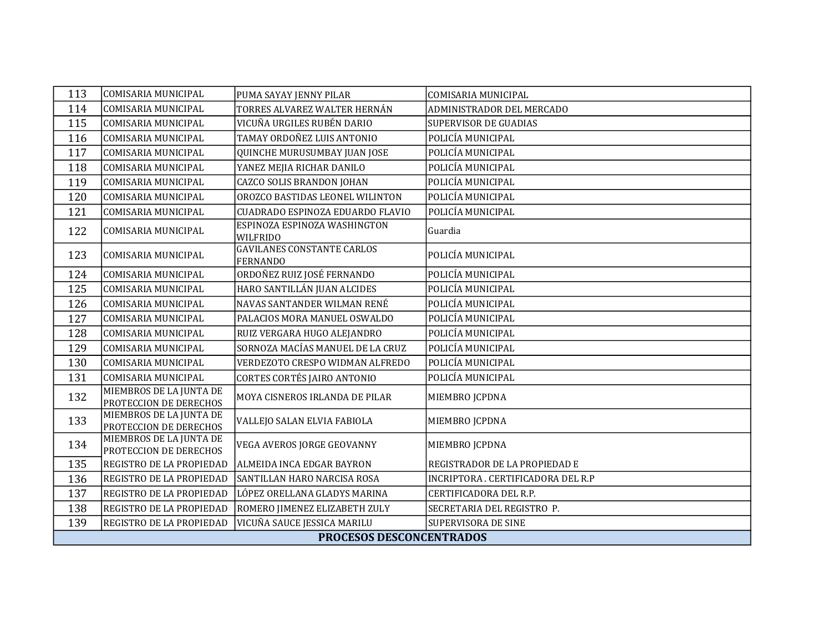| 113                      | COMISARIA MUNICIPAL                               | PUMA SAYAY JENNY PILAR                               | <b>COMISARIA MUNICIPAL</b>         |
|--------------------------|---------------------------------------------------|------------------------------------------------------|------------------------------------|
| 114                      | <b>COMISARIA MUNICIPAL</b>                        | TORRES ALVAREZ WALTER HERNÁN                         | ADMINISTRADOR DEL MERCADO          |
| 115                      | COMISARIA MUNICIPAL                               | VICUÑA URGILES RUBÉN DARIO                           | <b>SUPERVISOR DE GUADIAS</b>       |
| 116                      | COMISARIA MUNICIPAL                               | TAMAY ORDOÑEZ LUIS ANTONIO                           | POLICÍA MUNICIPAL                  |
| 117                      | COMISARIA MUNICIPAL                               | QUINCHE MURUSUMBAY JUAN JOSE                         | POLICÍA MUNICIPAL                  |
| 118                      | COMISARIA MUNICIPAL                               | YANEZ MEJIA RICHAR DANILO                            | POLICÍA MUNICIPAL                  |
| 119                      | COMISARIA MUNICIPAL                               | <b>CAZCO SOLIS BRANDON JOHAN</b>                     | POLICÍA MUNICIPAL                  |
| 120                      | COMISARIA MUNICIPAL                               | OROZCO BASTIDAS LEONEL WILINTON                      | POLICÍA MUNICIPAL                  |
| 121                      | COMISARIA MUNICIPAL                               | CUADRADO ESPINOZA EDUARDO FLAVIO                     | POLICÍA MUNICIPAL                  |
| 122                      | COMISARIA MUNICIPAL                               | ESPINOZA ESPINOZA WASHINGTON<br><b>WILFRIDO</b>      | Guardia                            |
| 123                      | COMISARIA MUNICIPAL                               | <b>GAVILANES CONSTANTE CARLOS</b><br><b>FERNANDO</b> | POLICÍA MUNICIPAL                  |
| 124                      | COMISARIA MUNICIPAL                               | ORDOÑEZ RUIZ JOSÉ FERNANDO                           | POLICÍA MUNICIPAL                  |
| 125                      | COMISARIA MUNICIPAL                               | HARO SANTILLÁN JUAN ALCIDES                          | POLICÍA MUNICIPAL                  |
| 126                      | COMISARIA MUNICIPAL                               | NAVAS SANTANDER WILMAN RENÉ                          | POLICÍA MUNICIPAL                  |
| 127                      | COMISARIA MUNICIPAL                               | PALACIOS MORA MANUEL OSWALDO                         | POLICÍA MUNICIPAL                  |
| 128                      | COMISARIA MUNICIPAL                               | RUIZ VERGARA HUGO ALEJANDRO                          | POLICÍA MUNICIPAL                  |
| 129                      | COMISARIA MUNICIPAL                               | SORNOZA MACÍAS MANUEL DE LA CRUZ                     | POLICÍA MUNICIPAL                  |
| 130                      | COMISARIA MUNICIPAL                               | VERDEZOTO CRESPO WIDMAN ALFREDO                      | POLICÍA MUNICIPAL                  |
| 131                      | COMISARIA MUNICIPAL                               | CORTES CORTÉS JAIRO ANTONIO                          | POLICÍA MUNICIPAL                  |
| 132                      | MIEMBROS DE LA JUNTA DE<br>PROTECCION DE DERECHOS | MOYA CISNEROS IRLANDA DE PILAR                       | MIEMBRO JCPDNA                     |
| 133                      | MIEMBROS DE LA JUNTA DE<br>PROTECCION DE DERECHOS | VALLEJO SALAN ELVIA FABIOLA                          | MIEMBRO JCPDNA                     |
| 134                      | MIEMBROS DE LA JUNTA DE<br>PROTECCION DE DERECHOS | VEGA AVEROS JORGE GEOVANNY                           | MIEMBRO JCPDNA                     |
| 135                      | REGISTRO DE LA PROPIEDAD                          | ALMEIDA INCA EDGAR BAYRON                            | REGISTRADOR DE LA PROPIEDAD E      |
| 136                      | REGISTRO DE LA PROPIEDAD                          | SANTILLAN HARO NARCISA ROSA                          | INCRIPTORA . CERTIFICADORA DEL R.P |
| 137                      | REGISTRO DE LA PROPIEDAD                          | LÓPEZ ORELLANA GLADYS MARINA                         | CERTIFICADORA DEL R.P.             |
| 138                      | REGISTRO DE LA PROPIEDAD                          | ROMERO JIMENEZ ELIZABETH ZULY                        | SECRETARIA DEL REGISTRO P.         |
| 139                      | REGISTRO DE LA PROPIEDAD                          | VICUÑA SAUCE JESSICA MARILU                          | SUPERVISORA DE SINE                |
| PROCESOS DESCONCENTRADOS |                                                   |                                                      |                                    |